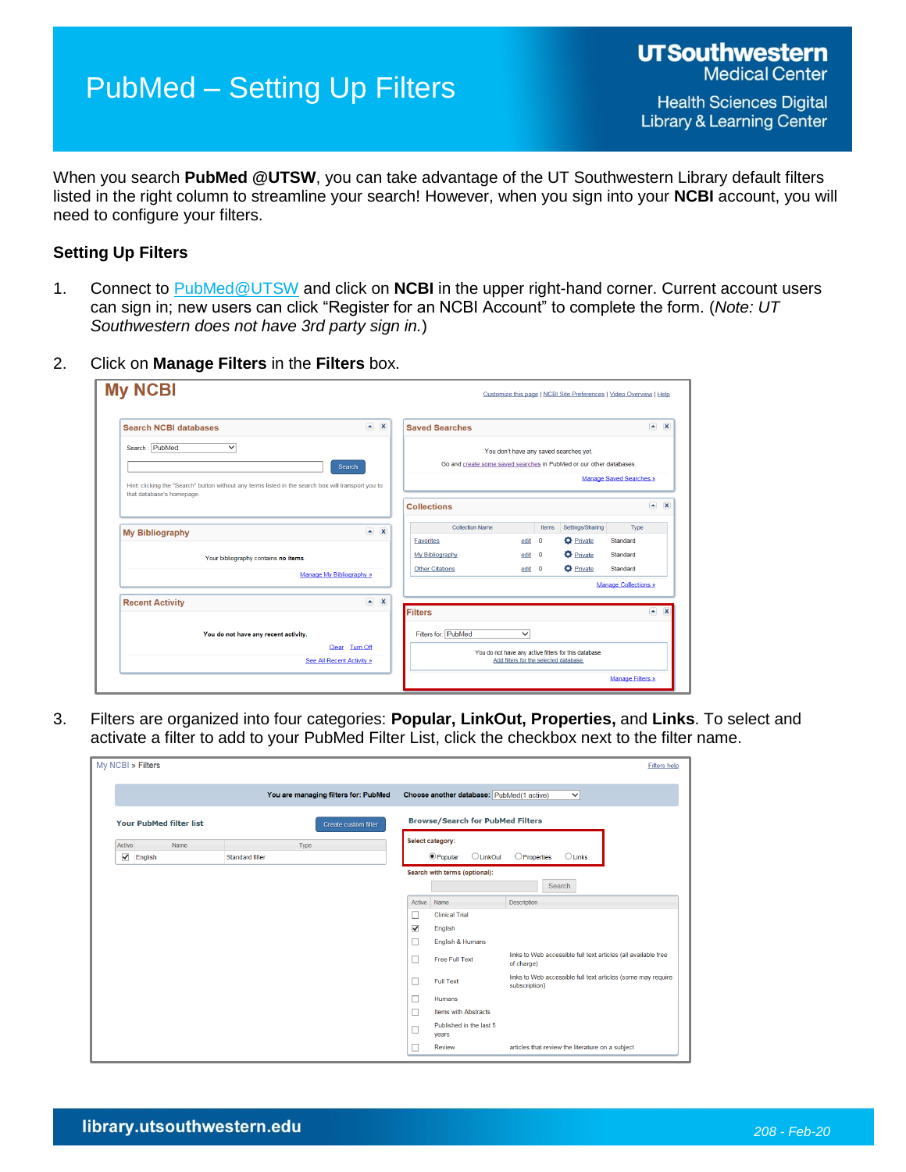## PubMed – Setting Up Filters

When you search **PubMed @UTSW**, you can take advantage of the UT Southwestern Library default filters listed in the right column to streamline your search! However, when you sign into your **NCBI** account, you will need to configure your filters.

## **Setting Up Filters**

- 1. Connect to [PubMed@UTSW](https://library.utsouthwestern.edu/main/portals/jpull2.aspx?1471) and click on **NCBI** in the upper right-hand corner. Current account users can sign in; new users can click "Register for an NCBI Account" to complete the form. (*Note: UT Southwestern does not have 3rd party sign in.*)
- 2. Click on **Manage Filters** in the **Filters** box.

| <b>Search NCBI databases</b>                                                                                                     |                           | $\left( \bullet \right)$<br>$\overline{\mathbf{x}}$ | <b>Saved Searches</b>                                               |                                        |          |                                                       |                                                  | $\sim$ X                |
|----------------------------------------------------------------------------------------------------------------------------------|---------------------------|-----------------------------------------------------|---------------------------------------------------------------------|----------------------------------------|----------|-------------------------------------------------------|--------------------------------------------------|-------------------------|
| Search: PubMed<br>$\checkmark$                                                                                                   | Search                    |                                                     | Go and create some saved searches in PubMed or our other databases. | You don't have any saved searches yet. |          |                                                       |                                                  |                         |
| Hint: clicking the "Search" button without any terms listed in the search box will transport you to<br>that database's homepage. |                           |                                                     | <b>Collections</b>                                                  |                                        |          |                                                       | <b>Manage Saved Searches »</b><br>$\blacksquare$ | $\overline{\mathbf{x}}$ |
|                                                                                                                                  |                           |                                                     |                                                                     |                                        |          |                                                       |                                                  |                         |
| <b>My Bibliography</b>                                                                                                           |                           | $\left( \frac{1}{2} \right)$<br>$\mathbf{x}$        | <b>Collection Name</b>                                              |                                        | Items    | Settings/Sharing                                      | Type                                             |                         |
|                                                                                                                                  |                           |                                                     | Favorites                                                           | edit                                   | $\Omega$ | <b>O</b> Private                                      | Standard                                         |                         |
| Your bibliography contains no items.                                                                                             |                           |                                                     | My Bibliography                                                     | edit 0                                 |          | <b>D</b> Private                                      | Standard                                         |                         |
|                                                                                                                                  | Manage My Bibliography »  |                                                     | <b>Other Citations</b>                                              | edit 0                                 |          | <b>D</b> Private                                      | Standard                                         |                         |
|                                                                                                                                  |                           |                                                     |                                                                     |                                        |          |                                                       | <b>Manage Collections »</b>                      |                         |
| <b>Recent Activity</b>                                                                                                           |                           | $\blacksquare$<br>$\overline{\mathbf{x}}$           | Filters                                                             |                                        |          |                                                       |                                                  | $\sim$ X                |
|                                                                                                                                  |                           |                                                     |                                                                     |                                        |          |                                                       |                                                  |                         |
| You do not have any recent activity.                                                                                             |                           |                                                     | Filters for: PubMed                                                 | v                                      |          |                                                       |                                                  |                         |
|                                                                                                                                  | Clear Turn Off            |                                                     |                                                                     |                                        |          | You do not have any active filters for this database. |                                                  |                         |
|                                                                                                                                  | See All Recent Activity » |                                                     |                                                                     | Add filters for the selected database. |          |                                                       |                                                  |                         |

3. Filters are organized into four categories: **Popular, LinkOut, Properties,** and **Links**. To select and activate a filter to add to your PubMed Filter List, click the checkbox next to the filter name.

| My NCBI » Filters              |                                      |                                                                                     |                                           | <b>Filters help</b>                                                           |  |
|--------------------------------|--------------------------------------|-------------------------------------------------------------------------------------|-------------------------------------------|-------------------------------------------------------------------------------|--|
|                                | You are managing filters for: PubMed |                                                                                     | Choose another database: PubMed(1 active) | $\checkmark$                                                                  |  |
| <b>Your PubMed filter list</b> | Create custom filter                 |                                                                                     | <b>Browse/Search for PubMed Filters</b>   |                                                                               |  |
| Name<br>Active<br>✔<br>English | Type<br>Standard filter              | Select category:<br><b>O</b> Popular<br>OProperties<br><b>OLinkOut</b><br>$O$ Links |                                           |                                                                               |  |
|                                |                                      | Search with terms (optional):                                                       |                                           |                                                                               |  |
|                                |                                      |                                                                                     |                                           | Search                                                                        |  |
|                                |                                      | Active                                                                              | Name                                      | <b>Description</b>                                                            |  |
|                                |                                      | □                                                                                   | <b>Clinical Trial</b>                     |                                                                               |  |
|                                |                                      | √                                                                                   | English                                   |                                                                               |  |
|                                |                                      | ⊔                                                                                   | English & Humans                          |                                                                               |  |
|                                |                                      | ш                                                                                   | <b>Free Full Text</b>                     | links to Web accessible full text articles (all available free<br>of charge)  |  |
|                                |                                      | □                                                                                   | <b>Full Text</b>                          | links to Web accessible full text articles (some may require<br>subscription) |  |
|                                |                                      |                                                                                     | Humans                                    |                                                                               |  |
|                                |                                      | $\overline{\phantom{a}}$                                                            | <b>Items with Abstracts</b>               |                                                                               |  |
|                                |                                      |                                                                                     | Published in the last 5<br>years          |                                                                               |  |
|                                |                                      |                                                                                     | <b>Review</b>                             | articles that review the literature on a subject                              |  |